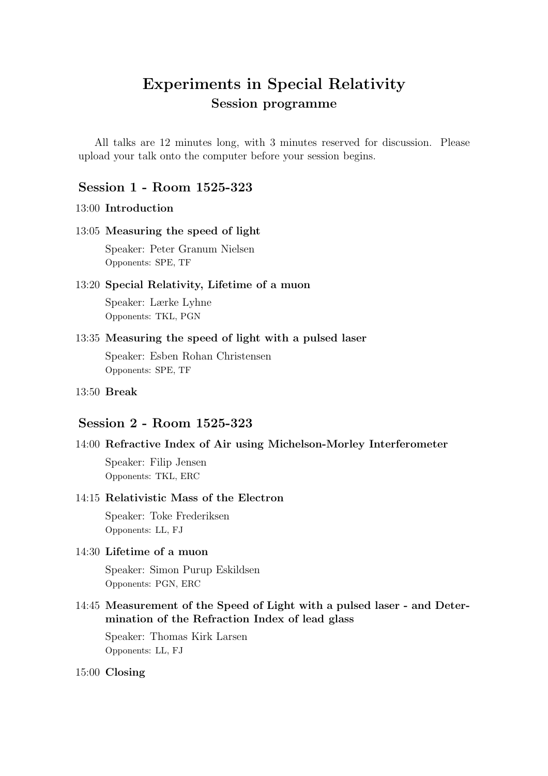# Experiments in Special Relativity Session programme

All talks are 12 minutes long, with 3 minutes reserved for discussion. Please upload your talk onto the computer before your session begins.

## Session 1 - Room 1525-323

## 13:00 Introduction

### 13:05 Measuring the speed of light

Speaker: Peter Granum Nielsen Opponents: SPE, TF

## 13:20 Special Relativity, Lifetime of a muon

Speaker: Lærke Lyhne Opponents: TKL, PGN

### 13:35 Measuring the speed of light with a pulsed laser

Speaker: Esben Rohan Christensen Opponents: SPE, TF

13:50 Break

# Session 2 - Room 1525-323

### 14:00 Refractive Index of Air using Michelson-Morley Interferometer

Speaker: Filip Jensen Opponents: TKL, ERC

## 14:15 Relativistic Mass of the Electron

Speaker: Toke Frederiksen Opponents: LL, FJ

## 14:30 Lifetime of a muon

Speaker: Simon Purup Eskildsen Opponents: PGN, ERC

## 14:45 Measurement of the Speed of Light with a pulsed laser - and Determination of the Refraction Index of lead glass

Speaker: Thomas Kirk Larsen Opponents: LL, FJ

### 15:00 Closing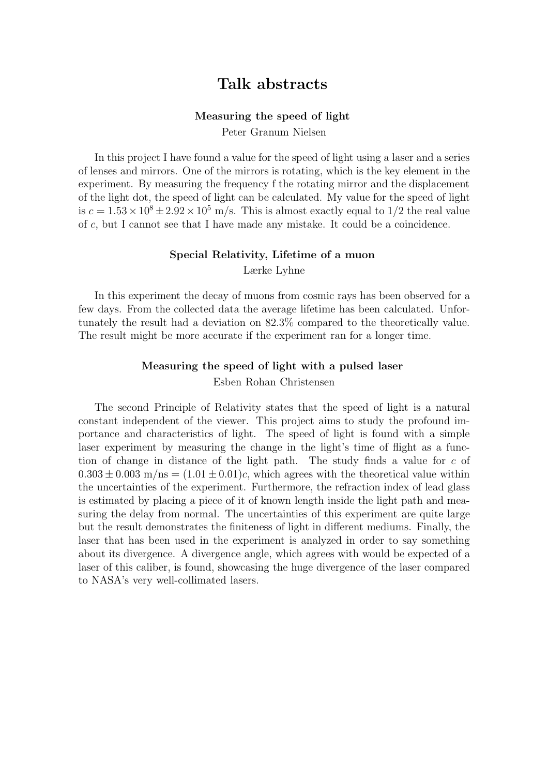# Talk abstracts

### Measuring the speed of light

Peter Granum Nielsen

In this project I have found a value for the speed of light using a laser and a series of lenses and mirrors. One of the mirrors is rotating, which is the key element in the experiment. By measuring the frequency f the rotating mirror and the displacement of the light dot, the speed of light can be calculated. My value for the speed of light is  $c = 1.53 \times 10^8 \pm 2.92 \times 10^5$  m/s. This is almost exactly equal to 1/2 the real value of c, but I cannot see that I have made any mistake. It could be a coincidence.

#### Special Relativity, Lifetime of a muon

Lærke Lyhne

In this experiment the decay of muons from cosmic rays has been observed for a few days. From the collected data the average lifetime has been calculated. Unfortunately the result had a deviation on 82.3% compared to the theoretically value. The result might be more accurate if the experiment ran for a longer time.

### Measuring the speed of light with a pulsed laser

Esben Rohan Christensen

The second Principle of Relativity states that the speed of light is a natural constant independent of the viewer. This project aims to study the profound importance and characteristics of light. The speed of light is found with a simple laser experiment by measuring the change in the light's time of flight as a function of change in distance of the light path. The study finds a value for  $c$  of  $0.303 \pm 0.003$  m/ns =  $(1.01 \pm 0.01)c$ , which agrees with the theoretical value within the uncertainties of the experiment. Furthermore, the refraction index of lead glass is estimated by placing a piece of it of known length inside the light path and measuring the delay from normal. The uncertainties of this experiment are quite large but the result demonstrates the finiteness of light in different mediums. Finally, the laser that has been used in the experiment is analyzed in order to say something about its divergence. A divergence angle, which agrees with would be expected of a laser of this caliber, is found, showcasing the huge divergence of the laser compared to NASA's very well-collimated lasers.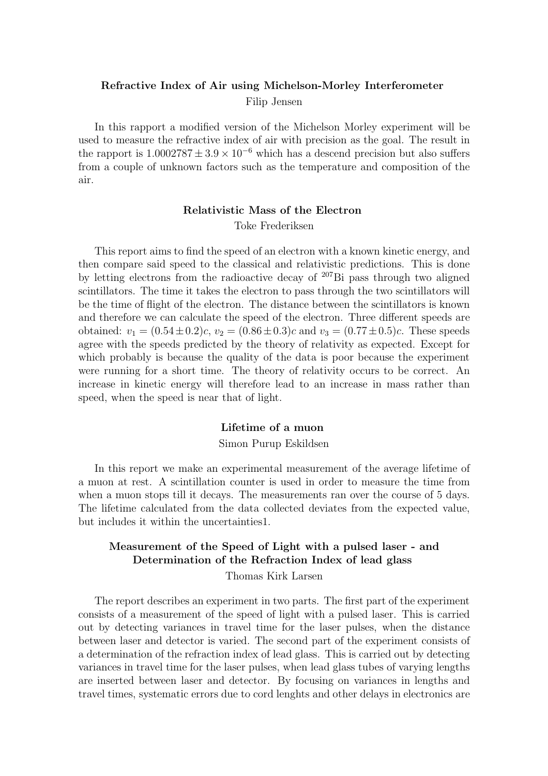# Refractive Index of Air using Michelson-Morley Interferometer Filip Jensen

In this rapport a modified version of the Michelson Morley experiment will be used to measure the refractive index of air with precision as the goal. The result in the rapport is  $1.0002787 \pm 3.9 \times 10^{-6}$  which has a descend precision but also suffers from a couple of unknown factors such as the temperature and composition of the air.

# Relativistic Mass of the Electron Toke Frederiksen

This report aims to find the speed of an electron with a known kinetic energy, and then compare said speed to the classical and relativistic predictions. This is done by letting electrons from the radioactive decay of <sup>207</sup>Bi pass through two aligned scintillators. The time it takes the electron to pass through the two scintillators will be the time of flight of the electron. The distance between the scintillators is known and therefore we can calculate the speed of the electron. Three different speeds are obtained:  $v_1 = (0.54 \pm 0.2)c$ ,  $v_2 = (0.86 \pm 0.3)c$  and  $v_3 = (0.77 \pm 0.5)c$ . These speeds agree with the speeds predicted by the theory of relativity as expected. Except for which probably is because the quality of the data is poor because the experiment were running for a short time. The theory of relativity occurs to be correct. An increase in kinetic energy will therefore lead to an increase in mass rather than speed, when the speed is near that of light.

## Lifetime of a muon

#### Simon Purup Eskildsen

In this report we make an experimental measurement of the average lifetime of a muon at rest. A scintillation counter is used in order to measure the time from when a muon stops till it decays. The measurements ran over the course of 5 days. The lifetime calculated from the data collected deviates from the expected value, but includes it within the uncertainties1.

# Measurement of the Speed of Light with a pulsed laser - and Determination of the Refraction Index of lead glass

### Thomas Kirk Larsen

The report describes an experiment in two parts. The first part of the experiment consists of a measurement of the speed of light with a pulsed laser. This is carried out by detecting variances in travel time for the laser pulses, when the distance between laser and detector is varied. The second part of the experiment consists of a determination of the refraction index of lead glass. This is carried out by detecting variances in travel time for the laser pulses, when lead glass tubes of varying lengths are inserted between laser and detector. By focusing on variances in lengths and travel times, systematic errors due to cord lenghts and other delays in electronics are